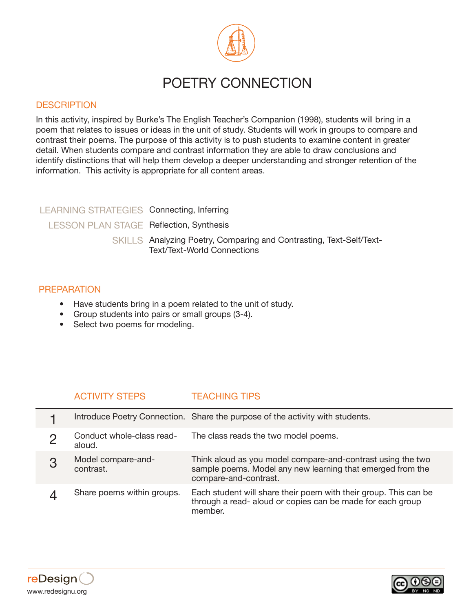

# POETRY CONNECTION

### **DESCRIPTION**

In this activity, inspired by Burke's The English Teacher's Companion (1998), students will bring in a poem that relates to issues or ideas in the unit of study. Students will work in groups to compare and contrast their poems. The purpose of this activity is to push students to examine content in greater detail. When students compare and contrast information they are able to draw conclusions and identify distinctions that will help them develop a deeper understanding and stronger retention of the information. This activity is appropriate for all content areas.

## LEARNING STRATEGIES Connecting, Inferring LESSON PLAN STAGE Reflection, Synthesis SKILLS Analyzing Poetry, Comparing and Contrasting, Text-Self/Text-Text/Text-World Connections

#### PREPARATION

- Have students bring in a poem related to the unit of study.
- Group students into pairs or small groups (3-4).
- Select two poems for modeling.

## ACTIVITY STEPS TEACHING TIPS

|   |                                     | Introduce Poetry Connection. Share the purpose of the activity with students.                                                                      |
|---|-------------------------------------|----------------------------------------------------------------------------------------------------------------------------------------------------|
|   | Conduct whole-class read-<br>aloud. | The class reads the two model poems.                                                                                                               |
| З | Model compare-and-<br>contrast.     | Think aloud as you model compare-and-contrast using the two<br>sample poems. Model any new learning that emerged from the<br>compare-and-contrast. |
|   | Share poems within groups.          | Each student will share their poem with their group. This can be<br>through a read- aloud or copies can be made for each group<br>member.          |